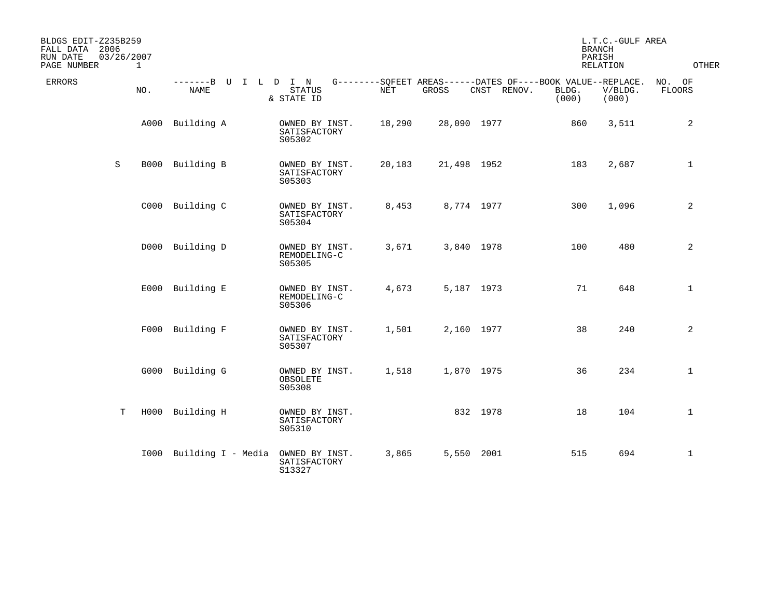| BLDGS EDIT-Z235B259<br>FALL DATA 2006<br>RUN DATE<br>PAGE NUMBER | 03/26/2007  | $\mathbf{1}$ |                              |                                          |        |                                                                      |             | <b>BRANCH</b><br>PARISH | L.T.C.-GULF AREA<br>RELATION | <b>OTHER</b>            |
|------------------------------------------------------------------|-------------|--------------|------------------------------|------------------------------------------|--------|----------------------------------------------------------------------|-------------|-------------------------|------------------------------|-------------------------|
| <b>ERRORS</b>                                                    |             | NO.          | -------B U I L D I N<br>NAME | <b>STATUS</b><br>& STATE ID              | NET    | G--------SQFEET AREAS------DATES OF----BOOK VALUE--REPLACE.<br>GROSS | CNST RENOV. | BLDG.<br>(000)          | V/BLDG.<br>(000)             | NO. OF<br><b>FLOORS</b> |
|                                                                  |             | A000         | Building A                   | OWNED BY INST.<br>SATISFACTORY<br>S05302 | 18,290 | 28,090 1977                                                          |             | 860                     | 3,511                        | 2                       |
|                                                                  | S           |              | B000 Building B              | OWNED BY INST.<br>SATISFACTORY<br>S05303 | 20,183 | 21,498 1952                                                          |             | 183                     | 2,687                        | $\mathbf{1}$            |
|                                                                  |             |              | C000 Building C              | OWNED BY INST.<br>SATISFACTORY<br>S05304 | 8,453  | 8,774 1977                                                           |             | 300                     | 1,096                        | 2                       |
|                                                                  |             |              | D000 Building D              | OWNED BY INST.<br>REMODELING-C<br>S05305 | 3,671  | 3,840 1978                                                           |             | 100                     | 480                          | 2                       |
|                                                                  |             |              | E000 Building E              | OWNED BY INST.<br>REMODELING-C<br>S05306 | 4,673  | 5,187 1973                                                           |             | 71                      | 648                          | $\mathbf{1}$            |
|                                                                  |             |              | F000 Building F              | OWNED BY INST.<br>SATISFACTORY<br>S05307 | 1,501  | 2,160 1977                                                           |             | 38                      | 240                          | 2                       |
|                                                                  |             |              | G000 Building G              | OWNED BY INST.<br>OBSOLETE<br>S05308     | 1,518  | 1,870 1975                                                           |             | 36                      | 234                          | $\mathbf{1}$            |
|                                                                  | $\mathbf T$ |              | H000 Building H              | OWNED BY INST.<br>SATISFACTORY<br>S05310 |        | 832 1978                                                             |             | 18                      | 104                          | $\mathbf{1}$            |
|                                                                  |             |              | 1000 Building I - Media      | OWNED BY INST.<br>SATISFACTORY<br>S13327 | 3,865  | 5,550 2001                                                           |             | 515                     | 694                          | $\mathbf{1}$            |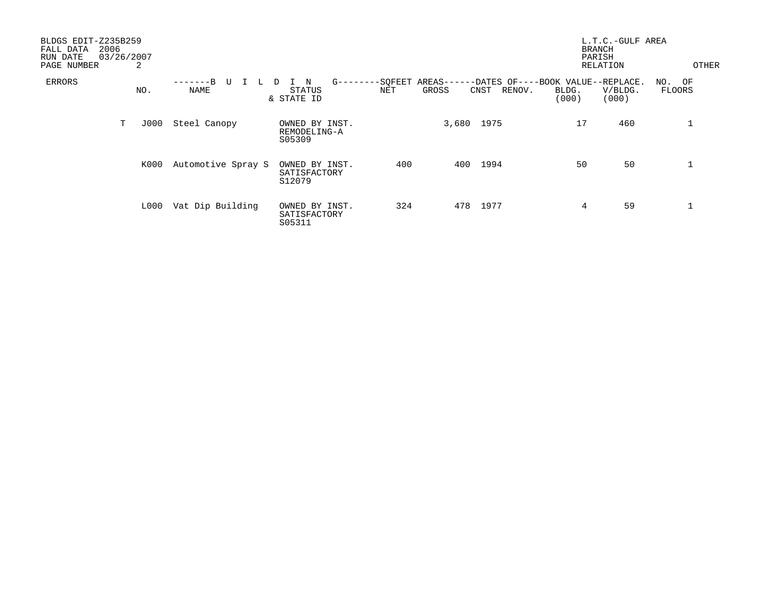| BLDGS EDIT-Z235B259<br>2006<br>FALL DATA<br>RUN DATE<br>PAGE NUMBER | 03/26/2007<br>2 |                    |                                          |                    |                                                                            | <b>BRANCH</b><br>PARISH | L.T.C.-GULF AREA<br>RELATION | OTHER                   |
|---------------------------------------------------------------------|-----------------|--------------------|------------------------------------------|--------------------|----------------------------------------------------------------------------|-------------------------|------------------------------|-------------------------|
| ERRORS                                                              | NO.             | $-R$<br>U<br>NAME  | $G$ ------<br>N<br>STATUS<br>& STATE ID  | $--$ SQFEET<br>NET | $AREAS---$<br>-DATES OF----BOOK VALUE--REPLACE.<br>GROSS<br>RENOV.<br>CNST | BLDG.<br>(000)          | V/BLDG.<br>(000)             | NO. OF<br><b>FLOORS</b> |
|                                                                     | Т<br>J000       | Steel Canopy       | OWNED BY INST.<br>REMODELING-A<br>S05309 |                    | 3,680<br>1975                                                              | 17                      | 460                          |                         |
|                                                                     | K000            | Automotive Spray S | OWNED BY INST.<br>SATISFACTORY<br>S12079 | 400                | 1994<br>400                                                                | 50                      | 50                           |                         |
|                                                                     | L000            | Vat Dip Building   | OWNED BY INST.<br>SATISFACTORY<br>S05311 | 324                | 1977<br>478                                                                | 4                       | 59                           |                         |